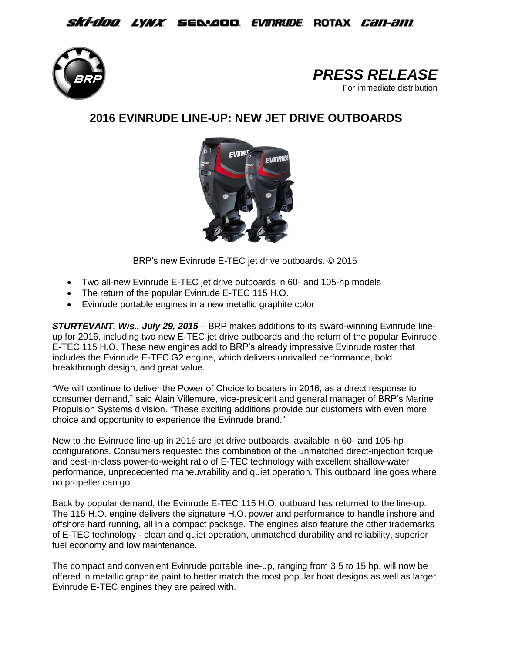## *Ski-doo Lynx S*e&aoo *Evinrude* Rotax *Can-am*





## **2016 EVINRUDE LINE-UP: NEW JET DRIVE OUTBOARDS**



BRP's new Evinrude E-TEC jet drive outboards. © 2015

- Two all-new Evinrude E-TEC jet drive outboards in 60- and 105-hp models
- The return of the popular Evinrude E-TEC 115 H.O.
- Evinrude portable engines in a new metallic graphite color

*STURTEVANT, Wis., July 29, 2015* – BRP makes additions to its award-winning Evinrude lineup for 2016, including two new E-TEC jet drive outboards and the return of the popular Evinrude E-TEC 115 H.O. These new engines add to BRP's already impressive Evinrude roster that includes the Evinrude E-TEC G2 engine, which delivers unrivalled performance, bold breakthrough design, and great value.

"We will continue to deliver the Power of Choice to boaters in 2016, as a direct response to consumer demand," said Alain Villemure, vice-president and general manager of BRP's Marine Propulsion Systems division. "These exciting additions provide our customers with even more choice and opportunity to experience the Evinrude brand."

New to the Evinrude line-up in 2016 are jet drive outboards, available in 60- and 105-hp configurations. Consumers requested this combination of the unmatched direct-injection torque and best-in-class power-to-weight ratio of E-TEC technology with excellent shallow-water performance, unprecedented maneuvrability and quiet operation. This outboard line goes where no propeller can go.

Back by popular demand, the Evinrude E-TEC 115 H.O. outboard has returned to the line-up. The 115 H.O. engine delivers the signature H.O. power and performance to handle inshore and offshore hard running*,* all in a compact package. The engines also feature the other trademarks of E-TEC technology - clean and quiet operation, unmatched durability and reliability, superior fuel economy and low maintenance.

The compact and convenient Evinrude portable line-up, ranging from 3.5 to 15 hp, will now be offered in metallic graphite paint to better match the most popular boat designs as well as larger Evinrude E-TEC engines they are paired with.